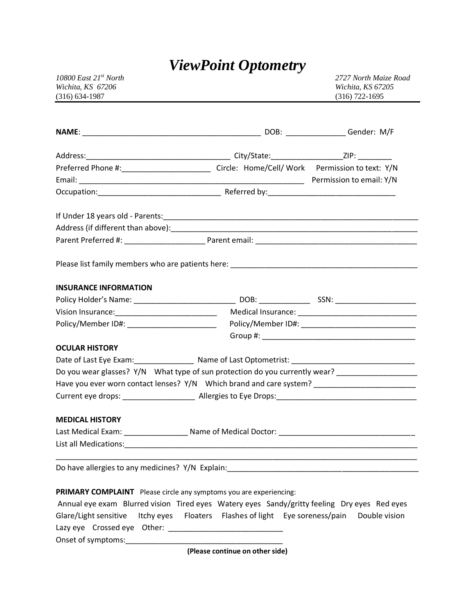# *ViewPoint Optometry*

| 10800 East $21^{st}$ North |
|----------------------------|
| Wichita, KS 67206          |
| $(316) 634 - 1987$         |

*10800 East 21st North 2727 North Maize Road Wichita, KS 67206 Wichita, KS 67205* (316) 722-1695

| Preferred Phone #:______________________________ Circle: Home/Cell/Work Permission to text: Y/N                                                                                                                                |  |  |  |
|--------------------------------------------------------------------------------------------------------------------------------------------------------------------------------------------------------------------------------|--|--|--|
|                                                                                                                                                                                                                                |  |  |  |
|                                                                                                                                                                                                                                |  |  |  |
|                                                                                                                                                                                                                                |  |  |  |
|                                                                                                                                                                                                                                |  |  |  |
|                                                                                                                                                                                                                                |  |  |  |
| <b>INSURANCE INFORMATION</b>                                                                                                                                                                                                   |  |  |  |
|                                                                                                                                                                                                                                |  |  |  |
| Vision Insurance: 1990 Medical Insurance: 1990 Medical Insurance: 1990 Medical Insurance: 1990 Medical Insurance: 1990 Medical Insurance: 1990 Medical Insurance: 1990 Medical Insurance: 1990 Medical Insurance: 1990 Medical |  |  |  |
| Policy/Member ID#: __________________________                                                                                                                                                                                  |  |  |  |
|                                                                                                                                                                                                                                |  |  |  |
| <b>OCULAR HISTORY</b>                                                                                                                                                                                                          |  |  |  |
|                                                                                                                                                                                                                                |  |  |  |
| Do you wear glasses? Y/N What type of sun protection do you currently wear?                                                                                                                                                    |  |  |  |
| Have you ever worn contact lenses? Y/N Which brand and care system? _______________________________                                                                                                                            |  |  |  |
|                                                                                                                                                                                                                                |  |  |  |
| <b>MEDICAL HISTORY</b>                                                                                                                                                                                                         |  |  |  |
| Last Medical Exam: ______________________ Name of Medical Doctor: __________________________________                                                                                                                           |  |  |  |
|                                                                                                                                                                                                                                |  |  |  |
|                                                                                                                                                                                                                                |  |  |  |
|                                                                                                                                                                                                                                |  |  |  |

### **PRIMARY COMPLAINT** Please circle any symptoms you are experiencing:

|                             |  |  | Annual eye exam Blurred vision Tired eyes Watery eyes Sandy/gritty feeling Dry eyes Red eyes |
|-----------------------------|--|--|----------------------------------------------------------------------------------------------|
|                             |  |  | Glare/Light sensitive Itchy eyes Floaters Flashes of light Eye soreness/pain Double vision   |
| Lazy eye Crossed eye Other: |  |  |                                                                                              |
| Onset of symptoms:          |  |  |                                                                                              |

**(Please continue on other side)**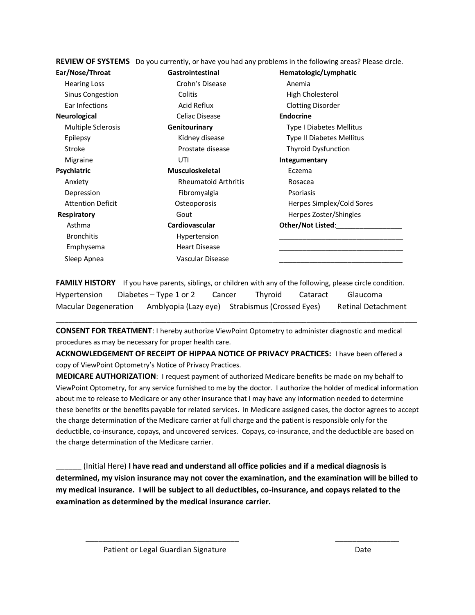|                          | REVIEW OF SYSTEMS Do you currently, or have you had any problems in the following areas? Please circle. |                              |  |  |
|--------------------------|---------------------------------------------------------------------------------------------------------|------------------------------|--|--|
| Ear/Nose/Throat          | <b>Gastrointestinal</b>                                                                                 | Hematologic/Lymphatic        |  |  |
| <b>Hearing Loss</b>      | Crohn's Disease                                                                                         | Anemia                       |  |  |
| Sinus Congestion         | Colitis                                                                                                 | High Cholesterol             |  |  |
| Ear Infections           | Acid Reflux                                                                                             | <b>Clotting Disorder</b>     |  |  |
| Neurological             | Celiac Disease                                                                                          | <b>Endocrine</b>             |  |  |
| Multiple Sclerosis       | Genitourinary                                                                                           | Type I Diabetes Mellitus     |  |  |
| Epilepsy                 | Kidney disease                                                                                          | Type II Diabetes Mellitus    |  |  |
| Stroke                   | Prostate disease                                                                                        | <b>Thyroid Dysfunction</b>   |  |  |
| Migraine                 | UTI                                                                                                     | Integumentary                |  |  |
| Psychiatric              | <b>Musculoskeletal</b>                                                                                  | Eczema                       |  |  |
| Anxiety                  | <b>Rheumatoid Arthritis</b>                                                                             | Rosacea                      |  |  |
| Depression               | Fibromyalgia                                                                                            | Psoriasis                    |  |  |
| <b>Attention Deficit</b> | Osteoporosis                                                                                            | Herpes Simplex/Cold Sores    |  |  |
| Respiratory              | Gout                                                                                                    | Herpes Zoster/Shingles       |  |  |
| Asthma                   | Cardiovascular                                                                                          | Other/Not Listed:___________ |  |  |
| <b>Bronchitis</b>        | Hypertension                                                                                            |                              |  |  |
| Emphysema                | <b>Heart Disease</b>                                                                                    |                              |  |  |
| Sleep Apnea              | Vascular Disease                                                                                        |                              |  |  |
|                          |                                                                                                         |                              |  |  |

**FAMILY HISTORY** If you have parents, siblings, or children with any of the following, please circle condition. Hypertension Diabetes – Type 1 or 2 Cancer Thyroid Cataract Glaucoma Macular Degeneration Amblyopia (Lazy eye) Strabismus (Crossed Eyes) Retinal Detachment

\_\_\_\_\_\_\_\_\_\_\_\_\_\_\_\_\_\_\_\_\_\_\_\_\_\_\_\_\_\_\_\_\_\_\_\_\_\_\_\_\_\_\_\_\_\_\_\_\_\_\_\_\_\_\_\_\_\_\_\_\_\_\_\_\_\_\_\_\_\_\_\_\_\_\_\_\_\_\_\_\_\_\_\_\_

**CONSENT FOR TREATMENT**: I hereby authorize ViewPoint Optometry to administer diagnostic and medical procedures as may be necessary for proper health care.

**ACKNOWLEDGEMENT OF RECEIPT OF HIPPAA NOTICE OF PRIVACY PRACTICES:** I have been offered a copy of ViewPoint Optometry's Notice of Privacy Practices.

**MEDICARE AUTHORIZATION**: I request payment of authorized Medicare benefits be made on my behalf to ViewPoint Optometry, for any service furnished to me by the doctor. I authorize the holder of medical information about me to release to Medicare or any other insurance that I may have any information needed to determine these benefits or the benefits payable for related services. In Medicare assigned cases, the doctor agrees to accept the charge determination of the Medicare carrier at full charge and the patient is responsible only for the deductible, co-insurance, copays, and uncovered services. Copays, co-insurance, and the deductible are based on the charge determination of the Medicare carrier.

\_\_\_\_\_\_ (Initial Here) **I have read and understand all office policies and if a medical diagnosis is determined, my vision insurance may not cover the examination, and the examination will be billed to my medical insurance. I will be subject to all deductibles, co-insurance, and copays related to the examination as determined by the medical insurance carrier.**

\_\_\_\_\_\_\_\_\_\_\_\_\_\_\_\_\_\_\_\_\_\_\_\_\_\_\_\_\_\_\_\_\_\_\_\_ \_\_\_\_\_\_\_\_\_\_\_\_\_\_\_

Patient or Legal Guardian Signature Date Date